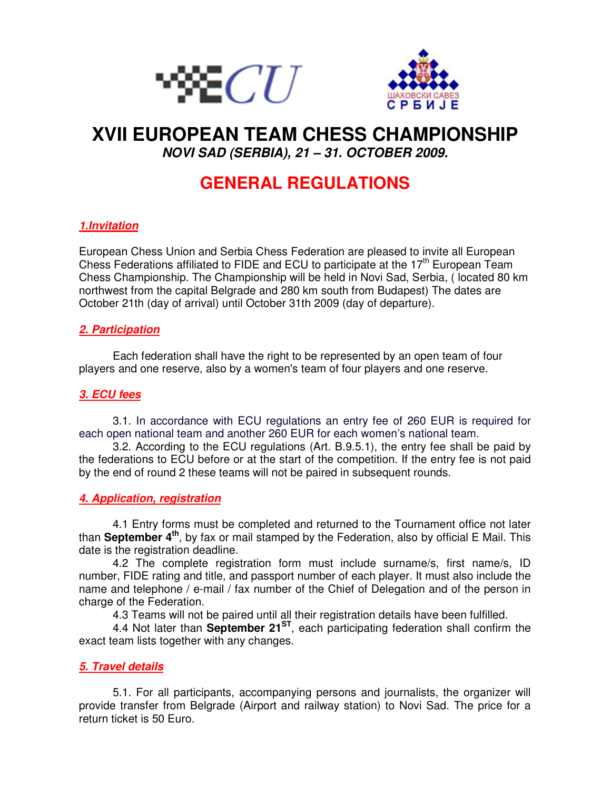



# **XVII EUROPEAN TEAM CHESS CHAMPIONSHIP**

**NOVI SAD (SERBIA), 21 – 31. OCTOBER 2009.** 

# **GENERAL REGULATIONS**

# **1.Invitation**

European Chess Union and Serbia Chess Federation are pleased to invite all European Chess Federations affiliated to FIDE and ECU to participate at the  $17<sup>th</sup>$  European Team Chess Championship. The Championship will be held in Novi Sad, Serbia, ( located 80 km northwest from the capital Belgrade and 280 km south from Budapest) The dates are October 21th (day of arrival) until October 31th 2009 (day of departure).

# **2. Participation**

Each federation shall have the right to be represented by an open team of four players and one reserve, also by a women's team of four players and one reserve.

# **3. ECU fees**

3.1. In accordance with ECU regulations an entry fee of 260 EUR is required for each open national team and another 260 EUR for each women's national team.

3.2. According to the ECU regulations (Art. B.9.5.1), the entry fee shall be paid by the federations to ECU before or at the start of the competition. If the entry fee is not paid by the end of round 2 these teams will not be paired in subsequent rounds.

#### **4. Application, registration**

4.1 Entry forms must be completed and returned to the Tournament office not later than **September 4th**, by fax or mail stamped by the Federation, also by official E Mail. This date is the registration deadline.

4.2 The complete registration form must include surname/s, first name/s, ID number, FIDE rating and title, and passport number of each player. It must also include the name and telephone / e-mail / fax number of the Chief of Delegation and of the person in charge of the Federation.

4.3 Teams will not be paired until all their registration details have been fulfilled.

4.4 Not later than **September 21ST**, each participating federation shall confirm the exact team lists together with any changes.

#### **5. Travel details**

5.1. For all participants, accompanying persons and journalists, the organizer will provide transfer from Belgrade (Airport and railway station) to Novi Sad. The price for a return ticket is 50 Euro.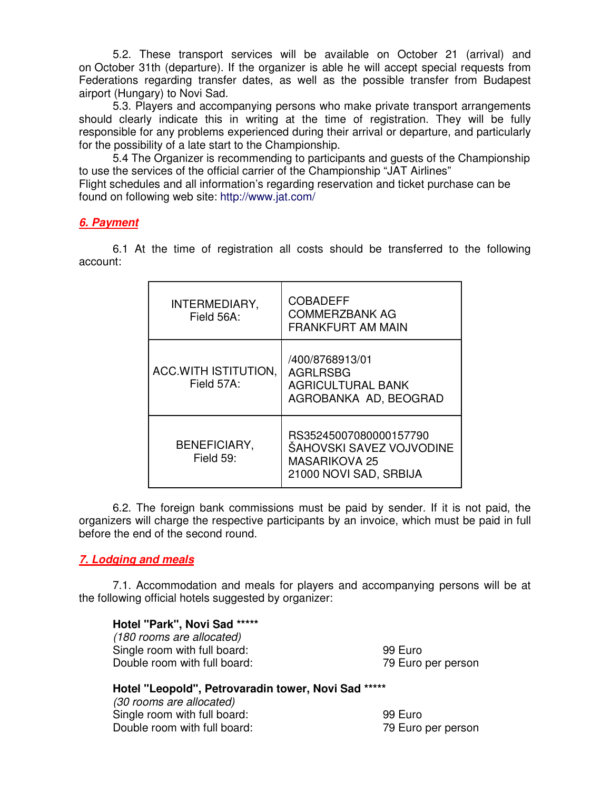5.2. These transport services will be available on October 21 (arrival) and on October 31th (departure). If the organizer is able he will accept special requests from Federations regarding transfer dates, as well as the possible transfer from Budapest airport (Hungary) to Novi Sad.

5.3. Players and accompanying persons who make private transport arrangements should clearly indicate this in writing at the time of registration. They will be fully responsible for any problems experienced during their arrival or departure, and particularly for the possibility of a late start to the Championship.

5.4 The Organizer is recommending to participants and guests of the Championship to use the services of the official carrier of the Championship "JAT Airlines" Flight schedules and all information's regarding reservation and ticket purchase can be

found on following web site: http://www.jat.com/

#### **6. Payment**

6.1 At the time of registration all costs should be transferred to the following account:

| INTERMEDIARY,<br>Field 56A:        | <b>COBADEFF</b><br><b>COMMERZBANK AG</b><br><b>FRANKFURT AM MAIN</b>                                 |
|------------------------------------|------------------------------------------------------------------------------------------------------|
| ACC.WITH ISTITUTION,<br>Field 57A: | /400/8768913/01<br><b>AGRLRSBG</b><br><b>AGRICULTURAL BANK</b><br>AGROBANKA AD, BEOGRAD              |
| <b>BENEFICIARY,</b><br>Field 59:   | RS35245007080000157790<br>ŠAHOVSKI SAVEZ VOJVODINE<br><b>MASARIKOVA 25</b><br>21000 NOVI SAD, SRBIJA |

6.2. The foreign bank commissions must be paid by sender. If it is not paid, the organizers will charge the respective participants by an invoice, which must be paid in full before the end of the second round.

#### **7. Lodging and meals**

7.1. Accommodation and meals for players and accompanying persons will be at the following official hotels suggested by organizer:

#### **Hotel "Park", Novi Sad \*\*\*\*\***

(180 rooms are allocated) Single room with full board: 99 Euro Double room with full board: 79 Euro per person

# **Hotel "Leopold", Petrovaradin tower, Novi Sad \*\*\*\*\***

(30 rooms are allocated) Single room with full board: 99 Euro Double room with full board: 79 Euro per person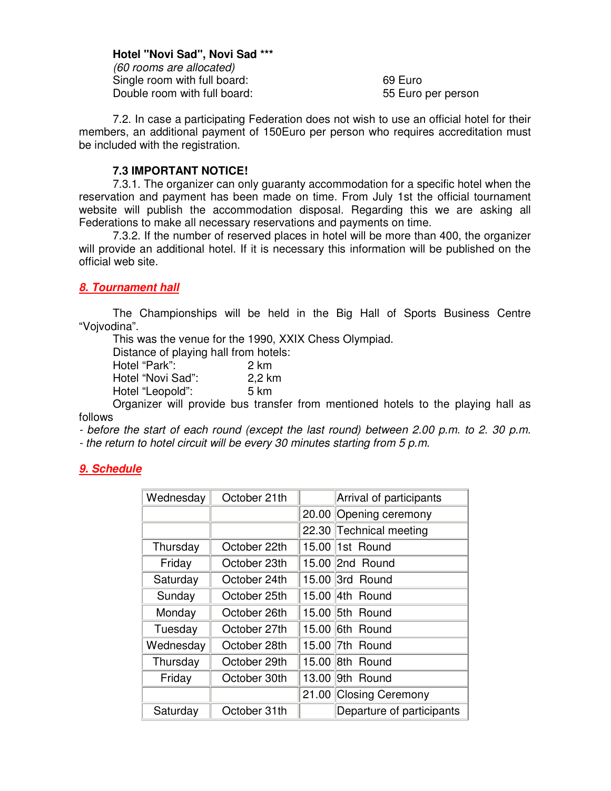#### **Hotel "Novi Sad", Novi Sad \*\*\***

(60 rooms are allocated) Single room with full board: 69 Euro Double room with full board: 55 Euro per person

7.2. In case a participating Federation does not wish to use an official hotel for their members, an additional payment of 150Euro per person who requires accreditation must be included with the registration.

#### **7.3 IMPORTANT NOTICE!**

7.3.1. The organizer can only guaranty accommodation for a specific hotel when the reservation and payment has been made on time. From July 1st the official tournament website will publish the accommodation disposal. Regarding this we are asking all Federations to make all necessary reservations and payments on time.

7.3.2. If the number of reserved places in hotel will be more than 400, the organizer will provide an additional hotel. If it is necessary this information will be published on the official web site.

## **8. Tournament hall**

The Championships will be held in the Big Hall of Sports Business Centre "Vojvodina".

This was the venue for the 1990, XXIX Chess Olympiad.

Distance of playing hall from hotels:

| Hotel "Park":     | 2 km   |
|-------------------|--------|
| Hotel "Novi Sad": | 2,2 km |
| Hotel "Leopold":  | 5 km   |

Organizer will provide bus transfer from mentioned hotels to the playing hall as follows

- before the start of each round (except the last round) between 2.00 p.m. to 2. 30 p.m.

- the return to hotel circuit will be every 30 minutes starting from 5 p.m.

#### **9. Schedule**

| Wednesday | October 21th |       | Arrival of participants   |
|-----------|--------------|-------|---------------------------|
|           |              | 20.00 | Opening ceremony          |
|           |              |       | 22.30 Technical meeting   |
| Thursday  | October 22th |       | 15.00 1st Round           |
| Friday    | October 23th |       | 15.00 2nd Round           |
| Saturday  | October 24th |       | 15.00 3rd Round           |
| Sunday    | October 25th |       | 15.00 4th Round           |
| Monday    | October 26th |       | 15.00 5th Round           |
| Tuesday   | October 27th |       | 15.00 6th Round           |
| Wednesday | October 28th |       | 15.00 7th Round           |
| Thursday  | October 29th | 15.00 | 8th Round                 |
| Friday    | October 30th |       | 13.00 9th Round           |
|           |              |       | 21.00 Closing Ceremony    |
| Saturday  | October 31th |       | Departure of participants |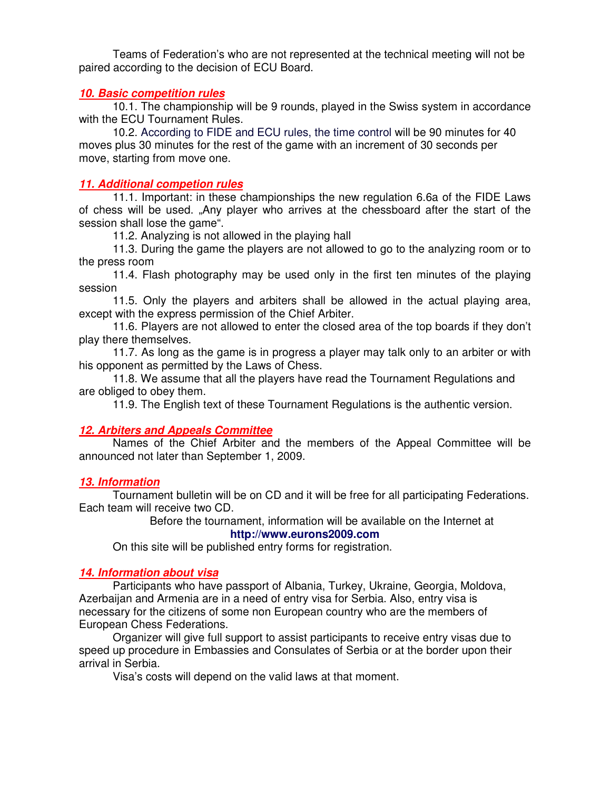Teams of Federation's who are not represented at the technical meeting will not be paired according to the decision of ECU Board.

#### **10. Basic competition rules**

10.1. The championship will be 9 rounds, played in the Swiss system in accordance with the ECU Tournament Rules.

10.2. According to FIDE and ECU rules, the time control will be 90 minutes for 40 moves plus 30 minutes for the rest of the game with an increment of 30 seconds per move, starting from move one.

#### **11. Additional competion rules**

11.1. Important: in these championships the new regulation 6.6a of the FIDE Laws of chess will be used. "Any player who arrives at the chessboard after the start of the session shall lose the game".

11.2. Analyzing is not allowed in the playing hall

11.3. During the game the players are not allowed to go to the analyzing room or to the press room

11.4. Flash photography may be used only in the first ten minutes of the playing session

 11.5. Only the players and arbiters shall be allowed in the actual playing area, except with the express permission of the Chief Arbiter.

11.6. Players are not allowed to enter the closed area of the top boards if they don't play there themselves.

11.7. As long as the game is in progress a player may talk only to an arbiter or with his opponent as permitted by the Laws of Chess.

11.8. We assume that all the players have read the Tournament Regulations and are obliged to obey them.

11.9. The English text of these Tournament Regulations is the authentic version.

#### **12. Arbiters and Appeals Committee**

Names of the Chief Arbiter and the members of the Appeal Committee will be announced not later than September 1, 2009.

#### **13. Information**

Tournament bulletin will be on CD and it will be free for all participating Federations. Each team will receive two CD.

> Before the tournament, information will be available on the Internet at **http://www.eurons2009.com**

On this site will be published entry forms for registration.

#### **14. Information about visa**

Participants who have passport of Albania, Turkey, Ukraine, Georgia, Moldova, Azerbaijan and Armenia are in a need of entry visa for Serbia. Also, entry visa is necessary for the citizens of some non European country who are the members of European Chess Federations.

Organizer will give full support to assist participants to receive entry visas due to speed up procedure in Embassies and Consulates of Serbia or at the border upon their arrival in Serbia.

Visa's costs will depend on the valid laws at that moment.